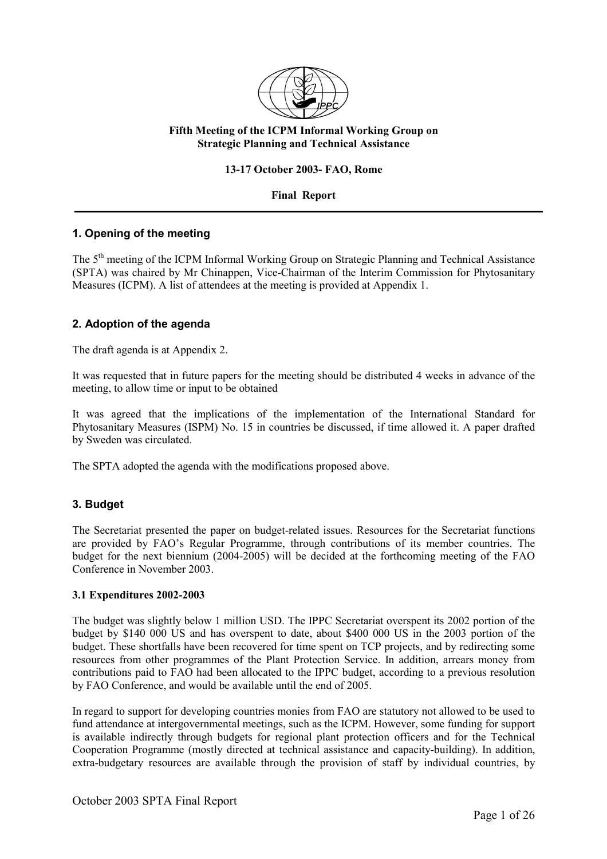

# **Fifth Meeting of the ICPM Informal Working Group on Strategic Planning and Technical Assistance**

### **13-17 October 2003- FAO, Rome**

### **Final Report**

# **1. Opening of the meeting**

The 5<sup>th</sup> meeting of the ICPM Informal Working Group on Strategic Planning and Technical Assistance (SPTA) was chaired by Mr Chinappen, Vice-Chairman of the Interim Commission for Phytosanitary Measures (ICPM). A list of attendees at the meeting is provided at Appendix 1.

# **2. Adoption of the agenda**

The draft agenda is at Appendix 2.

It was requested that in future papers for the meeting should be distributed 4 weeks in advance of the meeting, to allow time or input to be obtained

It was agreed that the implications of the implementation of the International Standard for Phytosanitary Measures (ISPM) No. 15 in countries be discussed, if time allowed it. A paper drafted by Sweden was circulated.

The SPTA adopted the agenda with the modifications proposed above.

# **3. Budget**

The Secretariat presented the paper on budget-related issues. Resources for the Secretariat functions are provided by FAO's Regular Programme, through contributions of its member countries. The budget for the next biennium (2004-2005) will be decided at the forthcoming meeting of the FAO Conference in November 2003.

#### **3.1 Expenditures 2002-2003**

The budget was slightly below 1 million USD. The IPPC Secretariat overspent its 2002 portion of the budget by \$140 000 US and has overspent to date, about \$400 000 US in the 2003 portion of the budget. These shortfalls have been recovered for time spent on TCP projects, and by redirecting some resources from other programmes of the Plant Protection Service. In addition, arrears money from contributions paid to FAO had been allocated to the IPPC budget, according to a previous resolution by FAO Conference, and would be available until the end of 2005.

In regard to support for developing countries monies from FAO are statutory not allowed to be used to fund attendance at intergovernmental meetings, such as the ICPM. However, some funding for support is available indirectly through budgets for regional plant protection officers and for the Technical Cooperation Programme (mostly directed at technical assistance and capacity-building). In addition, extra-budgetary resources are available through the provision of staff by individual countries, by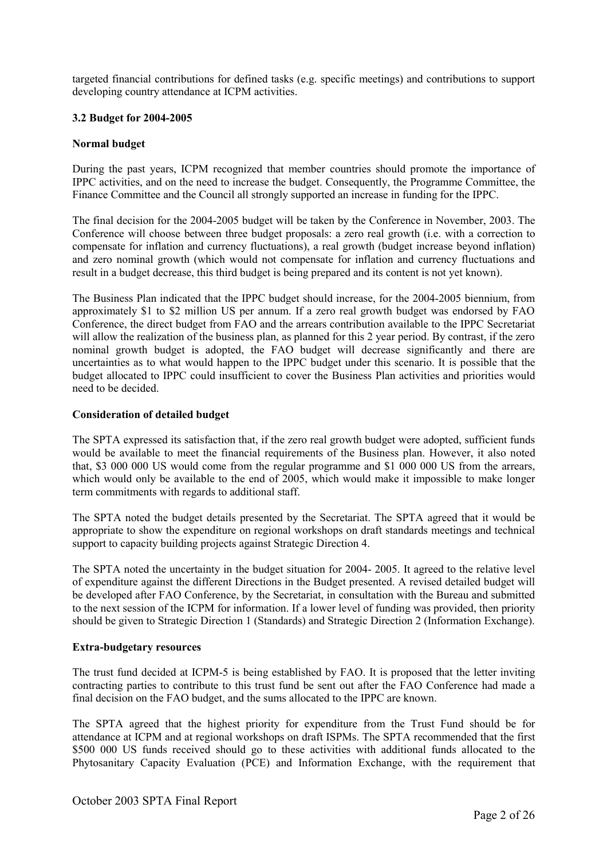targeted financial contributions for defined tasks (e.g. specific meetings) and contributions to support developing country attendance at ICPM activities.

### **3.2 Budget for 2004-2005**

### **Normal budget**

During the past years, ICPM recognized that member countries should promote the importance of IPPC activities, and on the need to increase the budget. Consequently, the Programme Committee, the Finance Committee and the Council all strongly supported an increase in funding for the IPPC.

The final decision for the 2004-2005 budget will be taken by the Conference in November, 2003. The Conference will choose between three budget proposals: a zero real growth (i.e. with a correction to compensate for inflation and currency fluctuations), a real growth (budget increase beyond inflation) and zero nominal growth (which would not compensate for inflation and currency fluctuations and result in a budget decrease, this third budget is being prepared and its content is not yet known).

The Business Plan indicated that the IPPC budget should increase, for the 2004-2005 biennium, from approximately \$1 to \$2 million US per annum. If a zero real growth budget was endorsed by FAO Conference, the direct budget from FAO and the arrears contribution available to the IPPC Secretariat will allow the realization of the business plan, as planned for this 2 year period. By contrast, if the zero nominal growth budget is adopted, the FAO budget will decrease significantly and there are uncertainties as to what would happen to the IPPC budget under this scenario. It is possible that the budget allocated to IPPC could insufficient to cover the Business Plan activities and priorities would need to be decided.

### **Consideration of detailed budget**

The SPTA expressed its satisfaction that, if the zero real growth budget were adopted, sufficient funds would be available to meet the financial requirements of the Business plan. However, it also noted that, \$3 000 000 US would come from the regular programme and \$1 000 000 US from the arrears, which would only be available to the end of 2005, which would make it impossible to make longer term commitments with regards to additional staff.

The SPTA noted the budget details presented by the Secretariat. The SPTA agreed that it would be appropriate to show the expenditure on regional workshops on draft standards meetings and technical support to capacity building projects against Strategic Direction 4.

The SPTA noted the uncertainty in the budget situation for 2004- 2005. It agreed to the relative level of expenditure against the different Directions in the Budget presented. A revised detailed budget will be developed after FAO Conference, by the Secretariat, in consultation with the Bureau and submitted to the next session of the ICPM for information. If a lower level of funding was provided, then priority should be given to Strategic Direction 1 (Standards) and Strategic Direction 2 (Information Exchange).

#### **Extra-budgetary resources**

The trust fund decided at ICPM-5 is being established by FAO. It is proposed that the letter inviting contracting parties to contribute to this trust fund be sent out after the FAO Conference had made a final decision on the FAO budget, and the sums allocated to the IPPC are known.

The SPTA agreed that the highest priority for expenditure from the Trust Fund should be for attendance at ICPM and at regional workshops on draft ISPMs. The SPTA recommended that the first \$500,000 US funds received should go to these activities with additional funds allocated to the Phytosanitary Capacity Evaluation (PCE) and Information Exchange, with the requirement that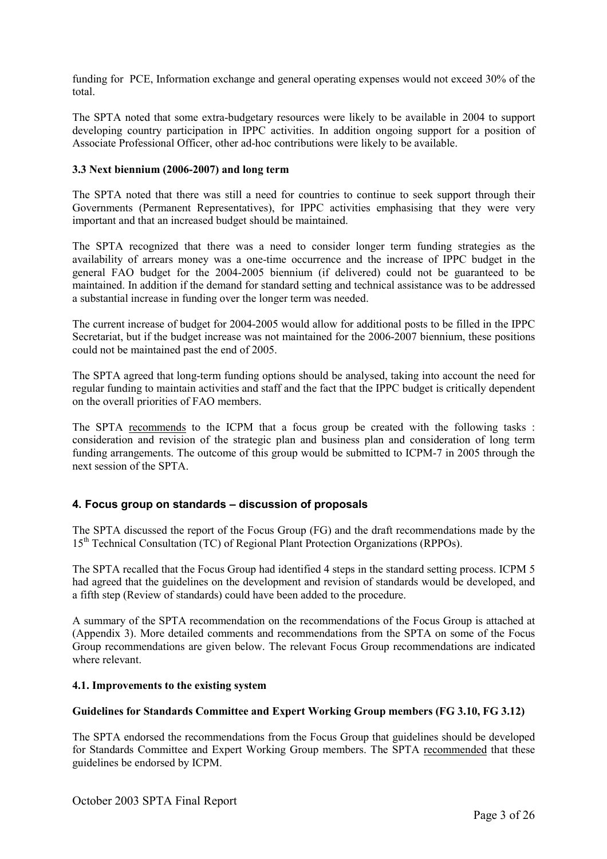funding for PCE, Information exchange and general operating expenses would not exceed 30% of the total.

The SPTA noted that some extra-budgetary resources were likely to be available in 2004 to support developing country participation in IPPC activities. In addition ongoing support for a position of Associate Professional Officer, other ad-hoc contributions were likely to be available.

### **3.3 Next biennium (2006-2007) and long term**

The SPTA noted that there was still a need for countries to continue to seek support through their Governments (Permanent Representatives), for IPPC activities emphasising that they were very important and that an increased budget should be maintained.

The SPTA recognized that there was a need to consider longer term funding strategies as the availability of arrears money was a one-time occurrence and the increase of IPPC budget in the general FAO budget for the 2004-2005 biennium (if delivered) could not be guaranteed to be maintained. In addition if the demand for standard setting and technical assistance was to be addressed a substantial increase in funding over the longer term was needed.

The current increase of budget for 2004-2005 would allow for additional posts to be filled in the IPPC Secretariat, but if the budget increase was not maintained for the 2006-2007 biennium, these positions could not be maintained past the end of 2005.

The SPTA agreed that long-term funding options should be analysed, taking into account the need for regular funding to maintain activities and staff and the fact that the IPPC budget is critically dependent on the overall priorities of FAO members.

The SPTA recommends to the ICPM that a focus group be created with the following tasks : consideration and revision of the strategic plan and business plan and consideration of long term funding arrangements. The outcome of this group would be submitted to ICPM-7 in 2005 through the next session of the SPTA.

# **4. Focus group on standards – discussion of proposals**

The SPTA discussed the report of the Focus Group (FG) and the draft recommendations made by the 15th Technical Consultation (TC) of Regional Plant Protection Organizations (RPPOs).

The SPTA recalled that the Focus Group had identified 4 steps in the standard setting process. ICPM 5 had agreed that the guidelines on the development and revision of standards would be developed, and a fifth step (Review of standards) could have been added to the procedure.

A summary of the SPTA recommendation on the recommendations of the Focus Group is attached at (Appendix 3). More detailed comments and recommendations from the SPTA on some of the Focus Group recommendations are given below. The relevant Focus Group recommendations are indicated where relevant.

### **4.1. Improvements to the existing system**

#### **Guidelines for Standards Committee and Expert Working Group members (FG 3.10, FG 3.12)**

The SPTA endorsed the recommendations from the Focus Group that guidelines should be developed for Standards Committee and Expert Working Group members. The SPTA recommended that these guidelines be endorsed by ICPM.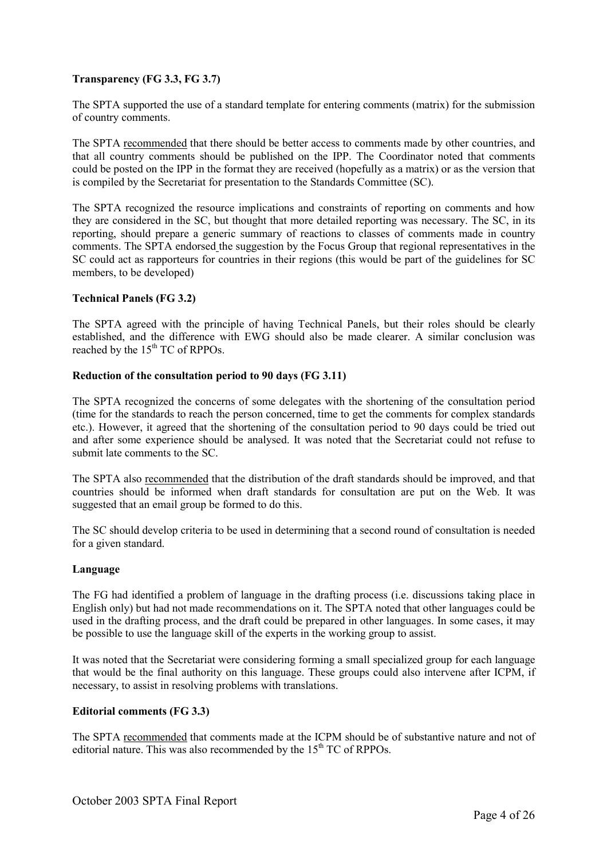# **Transparency (FG 3.3, FG 3.7)**

The SPTA supported the use of a standard template for entering comments (matrix) for the submission of country comments.

The SPTA recommended that there should be better access to comments made by other countries, and that all country comments should be published on the IPP. The Coordinator noted that comments could be posted on the IPP in the format they are received (hopefully as a matrix) or as the version that is compiled by the Secretariat for presentation to the Standards Committee (SC).

The SPTA recognized the resource implications and constraints of reporting on comments and how they are considered in the SC, but thought that more detailed reporting was necessary. The SC, in its reporting, should prepare a generic summary of reactions to classes of comments made in country comments. The SPTA endorsed the suggestion by the Focus Group that regional representatives in the SC could act as rapporteurs for countries in their regions (this would be part of the guidelines for SC members, to be developed)

### **Technical Panels (FG 3.2)**

The SPTA agreed with the principle of having Technical Panels, but their roles should be clearly established, and the difference with EWG should also be made clearer. A similar conclusion was reached by the 15<sup>th</sup> TC of RPPOs.

#### **Reduction of the consultation period to 90 days (FG 3.11)**

The SPTA recognized the concerns of some delegates with the shortening of the consultation period (time for the standards to reach the person concerned, time to get the comments for complex standards etc.). However, it agreed that the shortening of the consultation period to 90 days could be tried out and after some experience should be analysed. It was noted that the Secretariat could not refuse to submit late comments to the SC.

The SPTA also recommended that the distribution of the draft standards should be improved, and that countries should be informed when draft standards for consultation are put on the Web. It was suggested that an email group be formed to do this.

The SC should develop criteria to be used in determining that a second round of consultation is needed for a given standard.

#### **Language**

The FG had identified a problem of language in the drafting process (i.e. discussions taking place in English only) but had not made recommendations on it. The SPTA noted that other languages could be used in the drafting process, and the draft could be prepared in other languages. In some cases, it may be possible to use the language skill of the experts in the working group to assist.

It was noted that the Secretariat were considering forming a small specialized group for each language that would be the final authority on this language. These groups could also intervene after ICPM, if necessary, to assist in resolving problems with translations.

#### **Editorial comments (FG 3.3)**

The SPTA recommended that comments made at the ICPM should be of substantive nature and not of editorial nature. This was also recommended by the  $15<sup>th</sup> TC$  of RPPOs.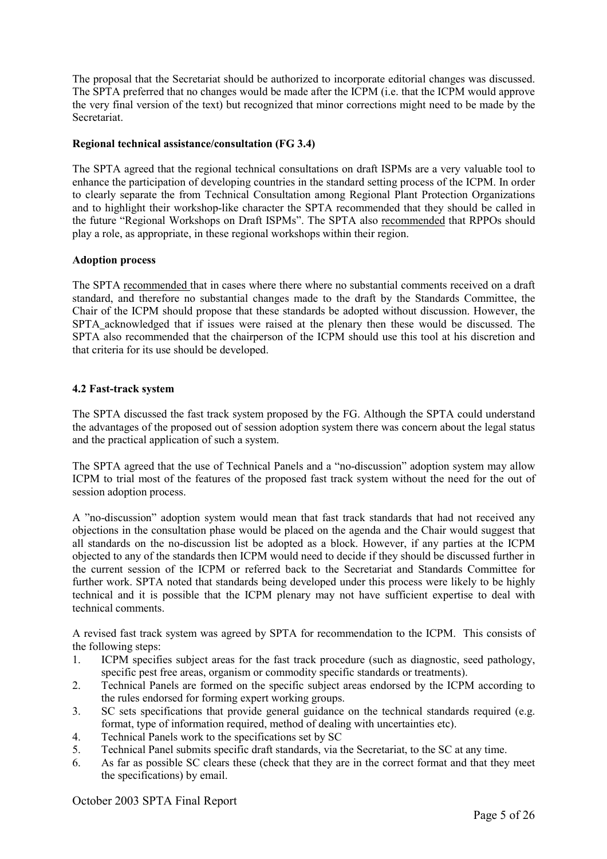The proposal that the Secretariat should be authorized to incorporate editorial changes was discussed. The SPTA preferred that no changes would be made after the ICPM (i.e. that the ICPM would approve the very final version of the text) but recognized that minor corrections might need to be made by the Secretariat.

### **Regional technical assistance/consultation (FG 3.4)**

The SPTA agreed that the regional technical consultations on draft ISPMs are a very valuable tool to enhance the participation of developing countries in the standard setting process of the ICPM. In order to clearly separate the from Technical Consultation among Regional Plant Protection Organizations and to highlight their workshop-like character the SPTA recommended that they should be called in the future "Regional Workshops on Draft ISPMs". The SPTA also recommended that RPPOs should play a role, as appropriate, in these regional workshops within their region.

### **Adoption process**

The SPTA recommended that in cases where there where no substantial comments received on a draft standard, and therefore no substantial changes made to the draft by the Standards Committee, the Chair of the ICPM should propose that these standards be adopted without discussion. However, the SPTA acknowledged that if issues were raised at the plenary then these would be discussed. The SPTA also recommended that the chairperson of the ICPM should use this tool at his discretion and that criteria for its use should be developed.

### **4.2 Fast-track system**

The SPTA discussed the fast track system proposed by the FG. Although the SPTA could understand the advantages of the proposed out of session adoption system there was concern about the legal status and the practical application of such a system.

The SPTA agreed that the use of Technical Panels and a "no-discussion" adoption system may allow ICPM to trial most of the features of the proposed fast track system without the need for the out of session adoption process.

A "no-discussion" adoption system would mean that fast track standards that had not received any objections in the consultation phase would be placed on the agenda and the Chair would suggest that all standards on the no-discussion list be adopted as a block. However, if any parties at the ICPM objected to any of the standards then ICPM would need to decide if they should be discussed further in the current session of the ICPM or referred back to the Secretariat and Standards Committee for further work. SPTA noted that standards being developed under this process were likely to be highly technical and it is possible that the ICPM plenary may not have sufficient expertise to deal with technical comments.

A revised fast track system was agreed by SPTA for recommendation to the ICPM. This consists of the following steps:

- 1. ICPM specifies subject areas for the fast track procedure (such as diagnostic, seed pathology, specific pest free areas, organism or commodity specific standards or treatments).
- 2. Technical Panels are formed on the specific subject areas endorsed by the ICPM according to the rules endorsed for forming expert working groups.
- 3. SC sets specifications that provide general guidance on the technical standards required (e.g. format, type of information required, method of dealing with uncertainties etc).
- 4. Technical Panels work to the specifications set by SC
- 5. Technical Panel submits specific draft standards, via the Secretariat, to the SC at any time.
- 6. As far as possible SC clears these (check that they are in the correct format and that they meet the specifications) by email.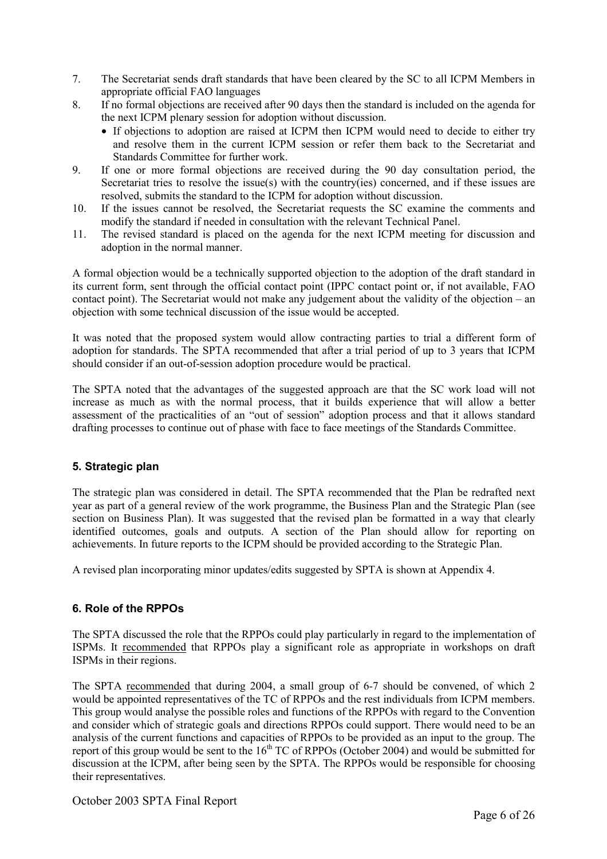- 7. The Secretariat sends draft standards that have been cleared by the SC to all ICPM Members in appropriate official FAO languages
- 8. If no formal objections are received after 90 days then the standard is included on the agenda for the next ICPM plenary session for adoption without discussion.
	- If objections to adoption are raised at ICPM then ICPM would need to decide to either try and resolve them in the current ICPM session or refer them back to the Secretariat and Standards Committee for further work.
- 9. If one or more formal objections are received during the 90 day consultation period, the Secretariat tries to resolve the issue(s) with the country(ies) concerned, and if these issues are resolved, submits the standard to the ICPM for adoption without discussion.
- 10. If the issues cannot be resolved, the Secretariat requests the SC examine the comments and modify the standard if needed in consultation with the relevant Technical Panel.
- 11. The revised standard is placed on the agenda for the next ICPM meeting for discussion and adoption in the normal manner.

A formal objection would be a technically supported objection to the adoption of the draft standard in its current form, sent through the official contact point (IPPC contact point or, if not available, FAO contact point). The Secretariat would not make any judgement about the validity of the objection – an objection with some technical discussion of the issue would be accepted.

It was noted that the proposed system would allow contracting parties to trial a different form of adoption for standards. The SPTA recommended that after a trial period of up to 3 years that ICPM should consider if an out-of-session adoption procedure would be practical.

The SPTA noted that the advantages of the suggested approach are that the SC work load will not increase as much as with the normal process, that it builds experience that will allow a better assessment of the practicalities of an "out of session" adoption process and that it allows standard drafting processes to continue out of phase with face to face meetings of the Standards Committee.

# **5. Strategic plan**

The strategic plan was considered in detail. The SPTA recommended that the Plan be redrafted next year as part of a general review of the work programme, the Business Plan and the Strategic Plan (see section on Business Plan). It was suggested that the revised plan be formatted in a way that clearly identified outcomes, goals and outputs. A section of the Plan should allow for reporting on achievements. In future reports to the ICPM should be provided according to the Strategic Plan.

A revised plan incorporating minor updates/edits suggested by SPTA is shown at Appendix 4.

# **6. Role of the RPPOs**

The SPTA discussed the role that the RPPOs could play particularly in regard to the implementation of ISPMs. It recommended that RPPOs play a significant role as appropriate in workshops on draft ISPMs in their regions.

The SPTA recommended that during 2004, a small group of 6-7 should be convened, of which 2 would be appointed representatives of the TC of RPPOs and the rest individuals from ICPM members. This group would analyse the possible roles and functions of the RPPOs with regard to the Convention and consider which of strategic goals and directions RPPOs could support. There would need to be an analysis of the current functions and capacities of RPPOs to be provided as an input to the group. The report of this group would be sent to the 16<sup>th</sup> TC of RPPOs (October 2004) and would be submitted for discussion at the ICPM, after being seen by the SPTA. The RPPOs would be responsible for choosing their representatives.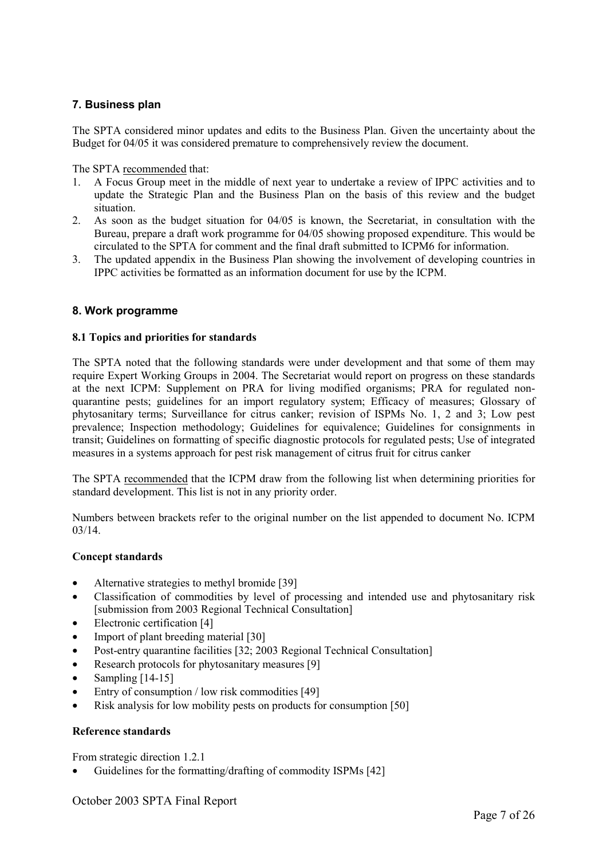# **7. Business plan**

The SPTA considered minor updates and edits to the Business Plan. Given the uncertainty about the Budget for 04/05 it was considered premature to comprehensively review the document.

The SPTA recommended that:

- 1. A Focus Group meet in the middle of next year to undertake a review of IPPC activities and to update the Strategic Plan and the Business Plan on the basis of this review and the budget situation.
- 2. As soon as the budget situation for 04/05 is known, the Secretariat, in consultation with the Bureau, prepare a draft work programme for 04/05 showing proposed expenditure. This would be circulated to the SPTA for comment and the final draft submitted to ICPM6 for information.
- 3. The updated appendix in the Business Plan showing the involvement of developing countries in IPPC activities be formatted as an information document for use by the ICPM.

### **8. Work programme**

#### **8.1 Topics and priorities for standards**

The SPTA noted that the following standards were under development and that some of them may require Expert Working Groups in 2004. The Secretariat would report on progress on these standards at the next ICPM: Supplement on PRA for living modified organisms; PRA for regulated nonquarantine pests; guidelines for an import regulatory system; Efficacy of measures; Glossary of phytosanitary terms; Surveillance for citrus canker; revision of ISPMs No. 1, 2 and 3; Low pest prevalence; Inspection methodology; Guidelines for equivalence; Guidelines for consignments in transit; Guidelines on formatting of specific diagnostic protocols for regulated pests; Use of integrated measures in a systems approach for pest risk management of citrus fruit for citrus canker

The SPTA recommended that the ICPM draw from the following list when determining priorities for standard development. This list is not in any priority order.

Numbers between brackets refer to the original number on the list appended to document No. ICPM 03/14.

#### **Concept standards**

- Alternative strategies to methyl bromide [39]
- Classification of commodities by level of processing and intended use and phytosanitary risk [submission from 2003 Regional Technical Consultation]
- Electronic certification [4]
- Import of plant breeding material [30]
- Post-entry quarantine facilities [32; 2003 Regional Technical Consultation]
- Research protocols for phytosanitary measures [9]
- Sampling  $[14-15]$
- Entry of consumption / low risk commodities [49]
- Risk analysis for low mobility pests on products for consumption [50]

#### **Reference standards**

From strategic direction 1.2.1

• Guidelines for the formatting/drafting of commodity ISPMs [42]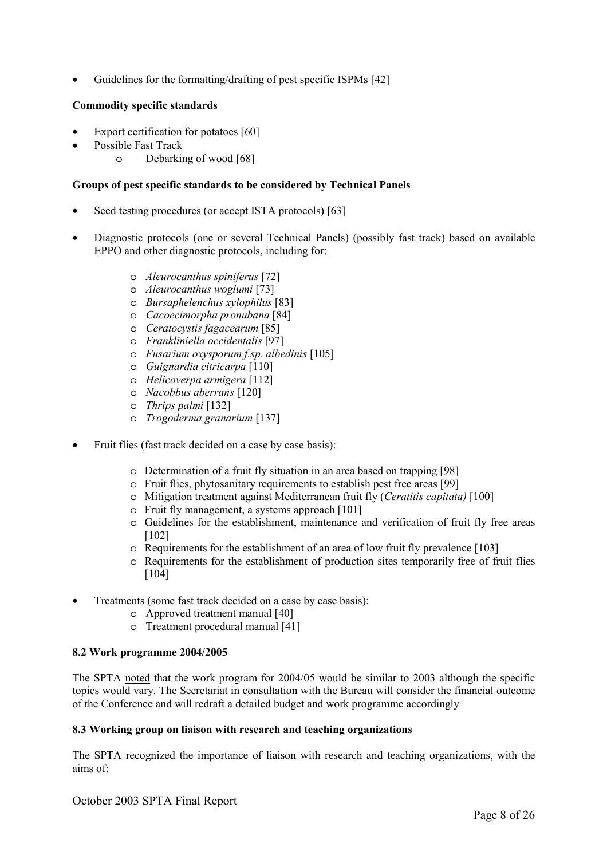Guidelines for the formatting/drafting of pest specific ISPMs [42]

# **Commodity specific standards**

- Export certification for potatoes [60]
- Possible Fast Track
	- o Debarking of wood [68]

### **Groups of pest specific standards to be considered by Technical Panels**

- Seed testing procedures (or accept ISTA protocols) [63]
- Diagnostic protocols (one or several Technical Panels) (possibly fast track) based on available EPPO and other diagnostic protocols, including for:
	- o *Aleurocanthus spiniferus* [72]
	- o *Aleurocanthus woglumi* [73]
	- o *Bursaphelenchus xylophilus* [83]
	- o *Cacoecimorpha pronubana* [84]
	- o *Ceratocystis fagacearum* [85]
	- o *Frankliniella occidentalis* [97]
	- o *Fusarium oxysporum f.sp. albedinis* [105]
	- o *Guignardia citricarpa* [110]
	- o *Helicoverpa armigera* [112]
	- o *Nacobbus aberrans* [120]
	- o *Thrips palmi* [132]
	- o *Trogoderma granarium* [137]
- Fruit flies (fast track decided on a case by case basis):
	- o Determination of a fruit fly situation in an area based on trapping [98]
	- o Fruit flies, phytosanitary requirements to establish pest free areas [99]
	- o Mitigation treatment against Mediterranean fruit fly (*Ceratitis capitata)* [100]
	- o Fruit fly management, a systems approach [101]
	- o Guidelines for the establishment, maintenance and verification of fruit fly free areas [102]
	- o Requirements for the establishment of an area of low fruit fly prevalence [103]
	- o Requirements for the establishment of production sites temporarily free of fruit flies [104]
- Treatments (some fast track decided on a case by case basis):
	- o Approved treatment manual [40]
	- o Treatment procedural manual [41]

#### **8.2 Work programme 2004/2005**

The SPTA noted that the work program for 2004/05 would be similar to 2003 although the specific topics would vary. The Secretariat in consultation with the Bureau will consider the financial outcome of the Conference and will redraft a detailed budget and work programme accordingly

# **8.3 Working group on liaison with research and teaching organizations**

The SPTA recognized the importance of liaison with research and teaching organizations, with the aims of: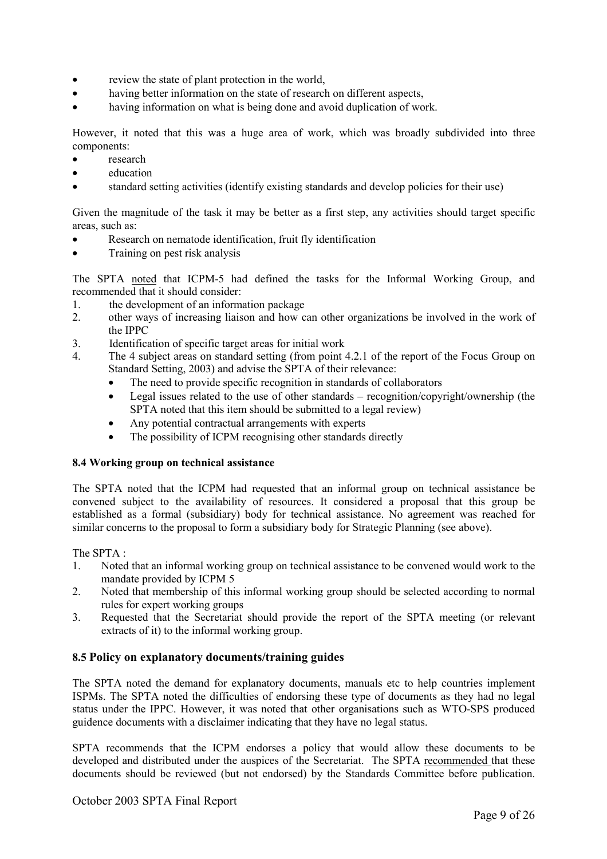- review the state of plant protection in the world,
- having better information on the state of research on different aspects,
- having information on what is being done and avoid duplication of work.

However, it noted that this was a huge area of work, which was broadly subdivided into three components:

- research
- education
- standard setting activities (identify existing standards and develop policies for their use)

Given the magnitude of the task it may be better as a first step, any activities should target specific areas, such as:

- Research on nematode identification, fruit fly identification
- Training on pest risk analysis

The SPTA noted that ICPM-5 had defined the tasks for the Informal Working Group, and recommended that it should consider:

- 1. the development of an information package
- 2. other ways of increasing liaison and how can other organizations be involved in the work of the IPPC
- 3. Identification of specific target areas for initial work
- 4. The 4 subject areas on standard setting (from point 4.2.1 of the report of the Focus Group on Standard Setting, 2003) and advise the SPTA of their relevance:
	- The need to provide specific recognition in standards of collaborators
	- Legal issues related to the use of other standards recognition/copyright/ownership (the SPTA noted that this item should be submitted to a legal review)
	- Any potential contractual arrangements with experts
	- The possibility of ICPM recognising other standards directly

#### **8.4 Working group on technical assistance**

The SPTA noted that the ICPM had requested that an informal group on technical assistance be convened subject to the availability of resources. It considered a proposal that this group be established as a formal (subsidiary) body for technical assistance. No agreement was reached for similar concerns to the proposal to form a subsidiary body for Strategic Planning (see above).

#### The SPTA :

- 1. Noted that an informal working group on technical assistance to be convened would work to the mandate provided by ICPM 5
- 2. Noted that membership of this informal working group should be selected according to normal rules for expert working groups
- 3. Requested that the Secretariat should provide the report of the SPTA meeting (or relevant extracts of it) to the informal working group.

# **8.5 Policy on explanatory documents/training guides**

The SPTA noted the demand for explanatory documents, manuals etc to help countries implement ISPMs. The SPTA noted the difficulties of endorsing these type of documents as they had no legal status under the IPPC. However, it was noted that other organisations such as WTO-SPS produced guidence documents with a disclaimer indicating that they have no legal status.

SPTA recommends that the ICPM endorses a policy that would allow these documents to be developed and distributed under the auspices of the Secretariat. The SPTA recommended that these documents should be reviewed (but not endorsed) by the Standards Committee before publication.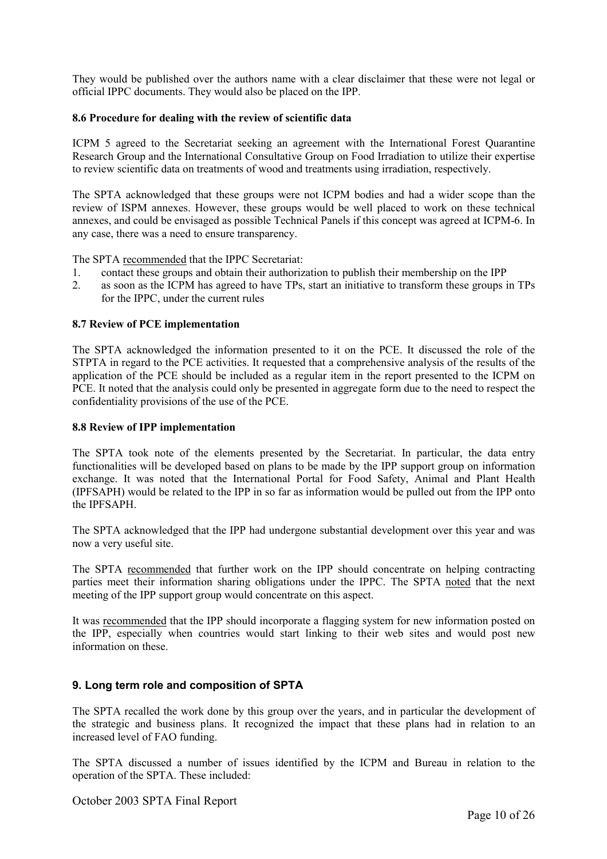They would be published over the authors name with a clear disclaimer that these were not legal or official IPPC documents. They would also be placed on the IPP.

### **8.6 Procedure for dealing with the review of scientific data**

ICPM 5 agreed to the Secretariat seeking an agreement with the International Forest Quarantine Research Group and the International Consultative Group on Food Irradiation to utilize their expertise to review scientific data on treatments of wood and treatments using irradiation, respectively.

The SPTA acknowledged that these groups were not ICPM bodies and had a wider scope than the review of ISPM annexes. However, these groups would be well placed to work on these technical annexes, and could be envisaged as possible Technical Panels if this concept was agreed at ICPM-6. In any case, there was a need to ensure transparency.

The SPTA recommended that the IPPC Secretariat:

- 1. contact these groups and obtain their authorization to publish their membership on the IPP
- 2. as soon as the ICPM has agreed to have TPs, start an initiative to transform these groups in TPs for the IPPC, under the current rules

#### **8.7 Review of PCE implementation**

The SPTA acknowledged the information presented to it on the PCE. It discussed the role of the STPTA in regard to the PCE activities. It requested that a comprehensive analysis of the results of the application of the PCE should be included as a regular item in the report presented to the ICPM on PCE. It noted that the analysis could only be presented in aggregate form due to the need to respect the confidentiality provisions of the use of the PCE.

#### **8.8 Review of IPP implementation**

The SPTA took note of the elements presented by the Secretariat. In particular, the data entry functionalities will be developed based on plans to be made by the IPP support group on information exchange. It was noted that the International Portal for Food Safety, Animal and Plant Health (IPFSAPH) would be related to the IPP in so far as information would be pulled out from the IPP onto the IPFSAPH.

The SPTA acknowledged that the IPP had undergone substantial development over this year and was now a very useful site.

The SPTA recommended that further work on the IPP should concentrate on helping contracting parties meet their information sharing obligations under the IPPC. The SPTA noted that the next meeting of the IPP support group would concentrate on this aspect.

It was recommended that the IPP should incorporate a flagging system for new information posted on the IPP, especially when countries would start linking to their web sites and would post new information on these.

#### **9. Long term role and composition of SPTA**

The SPTA recalled the work done by this group over the years, and in particular the development of the strategic and business plans. It recognized the impact that these plans had in relation to an increased level of FAO funding.

The SPTA discussed a number of issues identified by the ICPM and Bureau in relation to the operation of the SPTA. These included: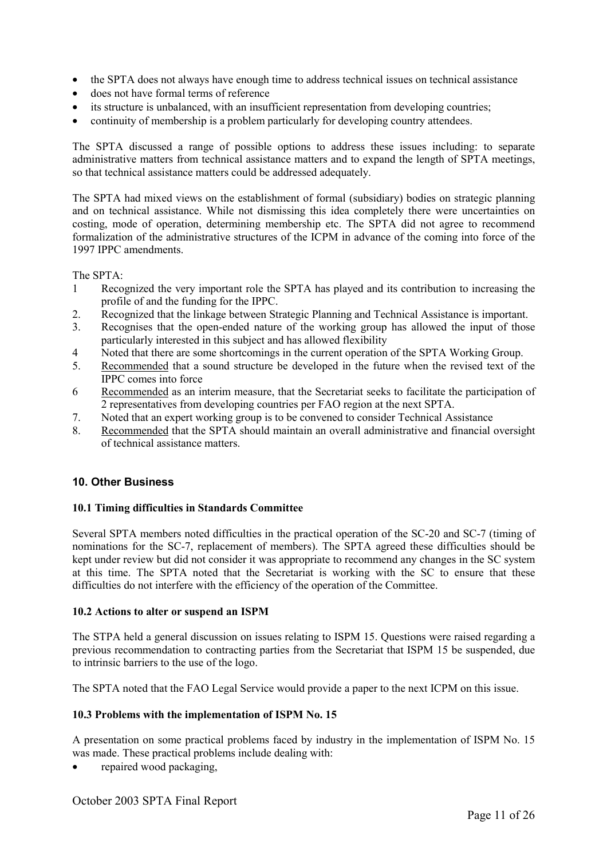- the SPTA does not always have enough time to address technical issues on technical assistance
- does not have formal terms of reference
- its structure is unbalanced, with an insufficient representation from developing countries;
- continuity of membership is a problem particularly for developing country attendees.

The SPTA discussed a range of possible options to address these issues including: to separate administrative matters from technical assistance matters and to expand the length of SPTA meetings, so that technical assistance matters could be addressed adequately.

The SPTA had mixed views on the establishment of formal (subsidiary) bodies on strategic planning and on technical assistance. While not dismissing this idea completely there were uncertainties on costing, mode of operation, determining membership etc. The SPTA did not agree to recommend formalization of the administrative structures of the ICPM in advance of the coming into force of the 1997 IPPC amendments.

The SPTA:

- 1 Recognized the very important role the SPTA has played and its contribution to increasing the profile of and the funding for the IPPC.
- 2. Recognized that the linkage between Strategic Planning and Technical Assistance is important.
- 3. Recognises that the open-ended nature of the working group has allowed the input of those particularly interested in this subject and has allowed flexibility
- 4 Noted that there are some shortcomings in the current operation of the SPTA Working Group.
- 5. Recommended that a sound structure be developed in the future when the revised text of the IPPC comes into force
- 6 Recommended as an interim measure, that the Secretariat seeks to facilitate the participation of 2 representatives from developing countries per FAO region at the next SPTA.
- 7. Noted that an expert working group is to be convened to consider Technical Assistance
- 8. Recommended that the SPTA should maintain an overall administrative and financial oversight of technical assistance matters.

# **10. Other Business**

#### **10.1 Timing difficulties in Standards Committee**

Several SPTA members noted difficulties in the practical operation of the SC-20 and SC-7 (timing of nominations for the SC-7, replacement of members). The SPTA agreed these difficulties should be kept under review but did not consider it was appropriate to recommend any changes in the SC system at this time. The SPTA noted that the Secretariat is working with the SC to ensure that these difficulties do not interfere with the efficiency of the operation of the Committee.

#### **10.2 Actions to alter or suspend an ISPM**

The STPA held a general discussion on issues relating to ISPM 15. Questions were raised regarding a previous recommendation to contracting parties from the Secretariat that ISPM 15 be suspended, due to intrinsic barriers to the use of the logo.

The SPTA noted that the FAO Legal Service would provide a paper to the next ICPM on this issue.

#### **10.3 Problems with the implementation of ISPM No. 15**

A presentation on some practical problems faced by industry in the implementation of ISPM No. 15 was made. These practical problems include dealing with:

• repaired wood packaging,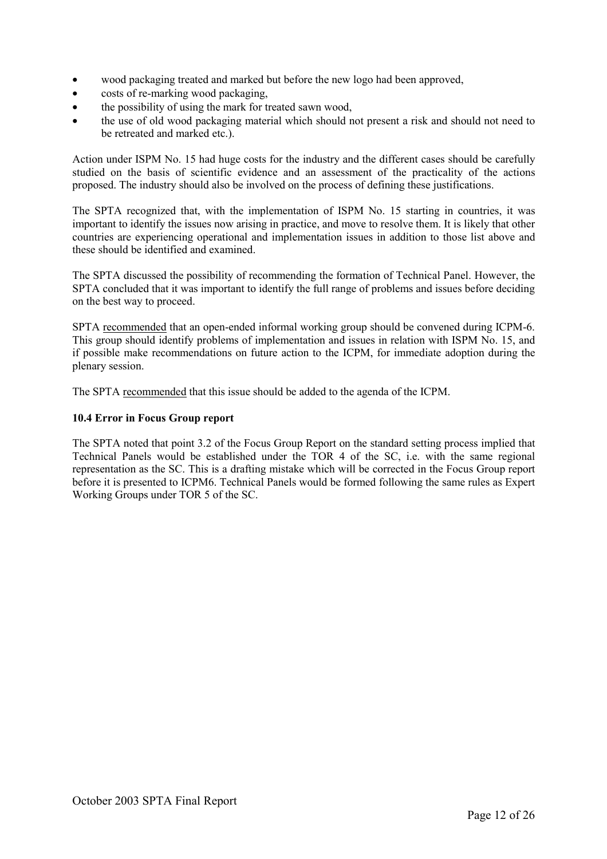- wood packaging treated and marked but before the new logo had been approved,
- costs of re-marking wood packaging,
- the possibility of using the mark for treated sawn wood,
- the use of old wood packaging material which should not present a risk and should not need to be retreated and marked etc.).

Action under ISPM No. 15 had huge costs for the industry and the different cases should be carefully studied on the basis of scientific evidence and an assessment of the practicality of the actions proposed. The industry should also be involved on the process of defining these justifications.

The SPTA recognized that, with the implementation of ISPM No. 15 starting in countries, it was important to identify the issues now arising in practice, and move to resolve them. It is likely that other countries are experiencing operational and implementation issues in addition to those list above and these should be identified and examined.

The SPTA discussed the possibility of recommending the formation of Technical Panel. However, the SPTA concluded that it was important to identify the full range of problems and issues before deciding on the best way to proceed.

SPTA recommended that an open-ended informal working group should be convened during ICPM-6. This group should identify problems of implementation and issues in relation with ISPM No. 15, and if possible make recommendations on future action to the ICPM, for immediate adoption during the plenary session.

The SPTA recommended that this issue should be added to the agenda of the ICPM.

# **10.4 Error in Focus Group report**

The SPTA noted that point 3.2 of the Focus Group Report on the standard setting process implied that Technical Panels would be established under the TOR 4 of the SC, i.e. with the same regional representation as the SC. This is a drafting mistake which will be corrected in the Focus Group report before it is presented to ICPM6. Technical Panels would be formed following the same rules as Expert Working Groups under TOR 5 of the SC.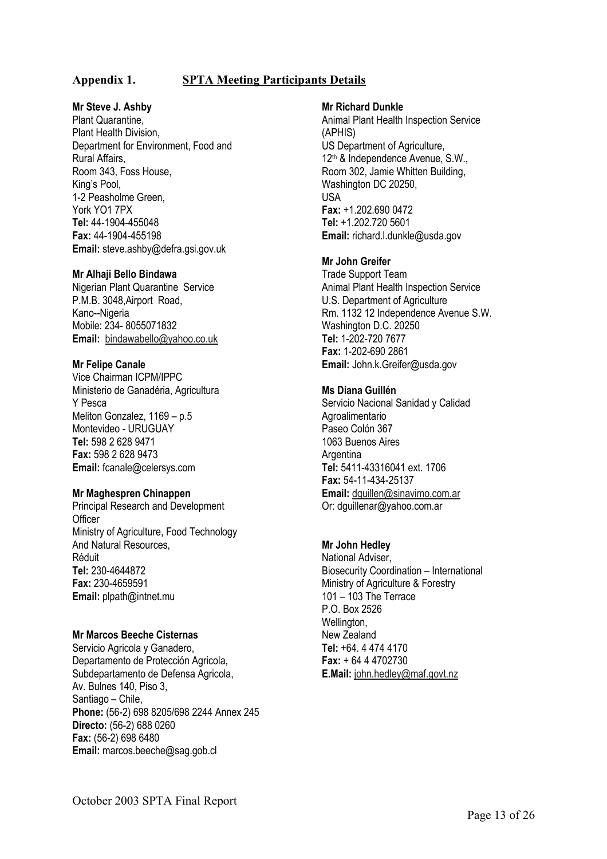# **Appendix 1. SPTA Meeting Participants Details**

### **Mr Steve J. Ashby**

Plant Quarantine, Plant Health Division, Department for Environment, Food and Rural Affairs, Room 343, Foss House, King's Pool, 1-2 Peasholme Green, York YO1 7PX **Tel:** 44-1904-455048 **Fax:** 44-1904-455198 **Email:** steve.ashby@defra.gsi.gov.uk

#### **Mr Alhaji Bello Bindawa**

Nigerian Plant Quarantine Service P.M.B. 3048,Airport Road, Kano--Nigeria Mobile: 234- 8055071832 **Email:** bindawabello@yahoo.co.uk

#### **Mr Felipe Canale**

Vice Chairman ICPM/IPPC Ministerio de Ganadéria, Agricultura Y Pesca Meliton Gonzalez, 1169 – p.5 Montevideo - URUGUAY **Tel:** 598 2 628 9471 **Fax:** 598 2 628 9473 **Email:** fcanale@celersys.com

#### **Mr Maghespren Chinappen**

Principal Research and Development **Officer** Ministry of Agriculture, Food Technology And Natural Resources, Réduit **Tel:** 230-4644872 **Fax:** 230-4659591 **Email:** plpath@intnet.mu

#### **Mr Marcos Beeche Cisternas**

Servicio Agricola y Ganadero, Departamento de Protección Agricola, Subdepartamento de Defensa Agricola, Av. Bulnes 140, Piso 3, Santiago – Chile, **Phone:** (56-2) 698 8205/698 2244 Annex 245 **Directo:** (56-2) 688 0260 **Fax:** (56-2) 698 6480 **Email:** marcos.beeche@sag.gob.cl

#### **Mr Richard Dunkle**

Animal Plant Health Inspection Service (APHIS) US Department of Agriculture, 12<sup>th</sup> & Independence Avenue, S.W., Room 302, Jamie Whitten Building, Washington DC 20250, USA **Fax:** +1.202.690 0472 **Tel:** +1.202.720 5601 **Email:** richard.l.dunkle@usda.gov

#### **Mr John Greifer**

Trade Support Team Animal Plant Health Inspection Service U.S. Department of Agriculture Rm. 1132 12 Independence Avenue S.W. Washington D.C. 20250 **Tel:** 1-202-720 7677 **Fax:** 1-202-690 2861 **Email:** John.k.Greifer@usda.gov

#### **Ms Diana Guillén**

Servicio Nacional Sanidad y Calidad Agroalimentario Paseo Colón 367 1063 Buenos Aires **Argentina Tel:** 5411-43316041 ext. 1706 **Fax:** 54-11-434-25137 **Email:** dguillen@sinavimo.com.ar Or: dguillenar@yahoo.com.ar

#### **Mr John Hedley**

National Adviser, Biosecurity Coordination – International Ministry of Agriculture & Forestry 101 – 103 The Terrace P.O. Box 2526 Wellington, New Zealand **Tel:** +64. 4 474 4170 **Fax:** + 64 4 4702730 **E.Mail:** john.hedley@maf.govt.nz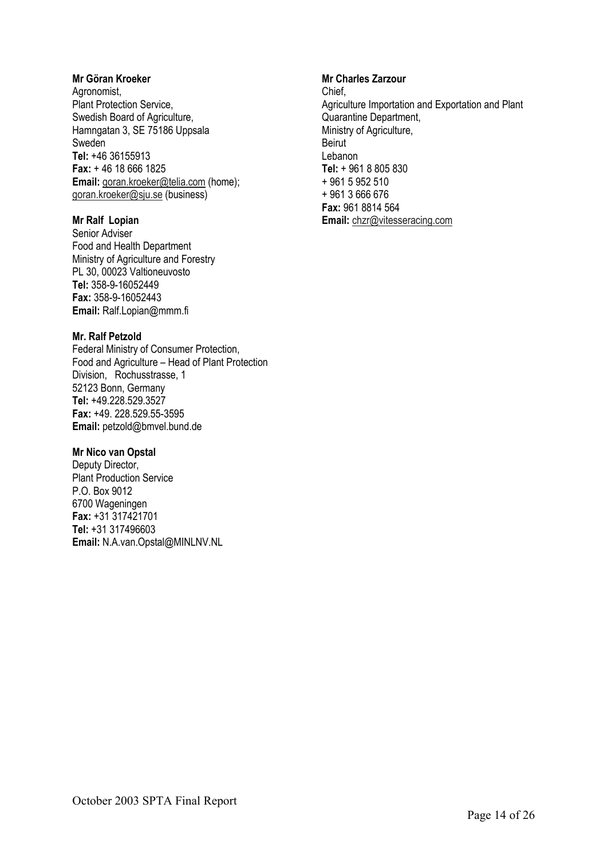#### **Mr Göran Kroeker**

Agronomist, Plant Protection Service, Swedish Board of Agriculture, Hamngatan 3, SE 75186 Uppsala Sweden **Tel:** +46 36155913 **Fax:** + 46 18 666 1825 Email: goran.kroeker@telia.com (home); goran.kroeker@sju.se (business)

#### **Mr Ralf Lopian**

Senior Adviser Food and Health Department Ministry of Agriculture and Forestry PL 30, 00023 Valtioneuvosto **Tel:** 358-9-16052449 **Fax:** 358-9-16052443 **Email:** Ralf.Lopian@mmm.fi

### **Mr. Ralf Petzold**

Federal Ministry of Consumer Protection, Food and Agriculture – Head of Plant Protection Division, Rochusstrasse, 1 52123 Bonn, Germany **Tel:** +49.228.529.3527 **Fax:** +49. 228.529.55-3595 **Email:** petzold@bmvel.bund.de

### **Mr Nico van Opstal**

Deputy Director, Plant Production Service P.O. Box 9012 6700 Wageningen **Fax:** +31 317421701 **Tel:** +31 317496603 **Email:** N.A.van.Opstal@MINLNV.NL

### **Mr Charles Zarzour**

Chief, Agriculture Importation and Exportation and Plant Quarantine Department, Ministry of Agriculture, Beirut Lebanon **Tel:** + 961 8 805 830 + 961 5 952 510 + 961 3 666 676 **Fax:** 961 8814 564 **Email:** chzr@vitesseracing.com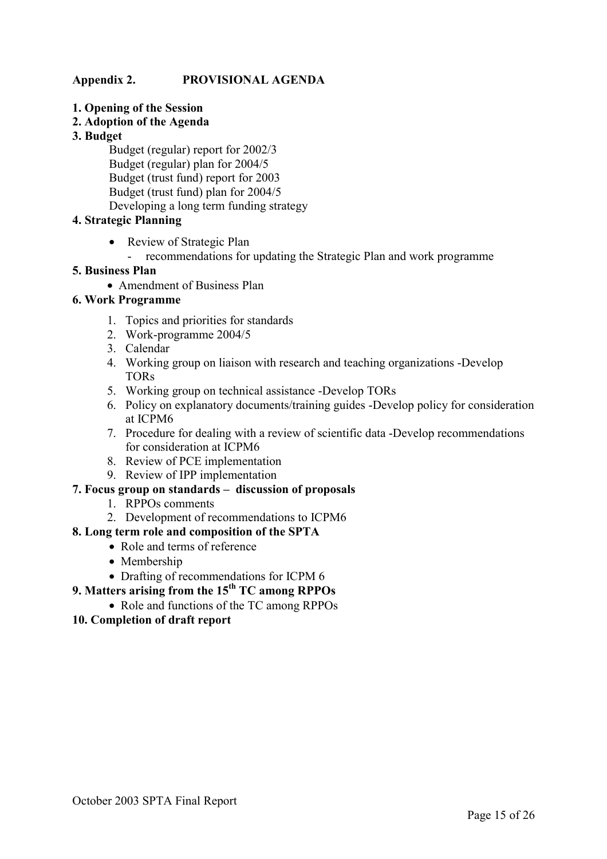# **Appendix 2. PROVISIONAL AGENDA**

- **1. Opening of the Session**
- **2. Adoption of the Agenda**
- **3. Budget**

 Budget (regular) report for 2002/3 Budget (regular) plan for 2004/5 Budget (trust fund) report for 2003 Budget (trust fund) plan for 2004/5 Developing a long term funding strategy

# **4. Strategic Planning**

- Review of Strategic Plan
	- recommendations for updating the Strategic Plan and work programme

# **5. Business Plan**

• Amendment of Business Plan

# **6. Work Programme**

- 1. Topics and priorities for standards
- 2. Work-programme 2004/5
- 3. Calendar
- 4. Working group on liaison with research and teaching organizations -Develop TORs
- 5. Working group on technical assistance -Develop TORs
- 6. Policy on explanatory documents/training guides -Develop policy for consideration at ICPM6
- 7. Procedure for dealing with a review of scientific data -Develop recommendations for consideration at ICPM6
- 8. Review of PCE implementation
- 9. Review of IPP implementation

# **7. Focus group on standards – discussion of proposals**

- 1. RPPOs comments
- 2. Development of recommendations to ICPM6
- **8. Long term role and composition of the SPTA** 
	- Role and terms of reference
	- Membership
	- Drafting of recommendations for ICPM 6
- **9. Matters arising from the 15th TC among RPPOs** 
	- Role and functions of the TC among RPPOs

# **10. Completion of draft report**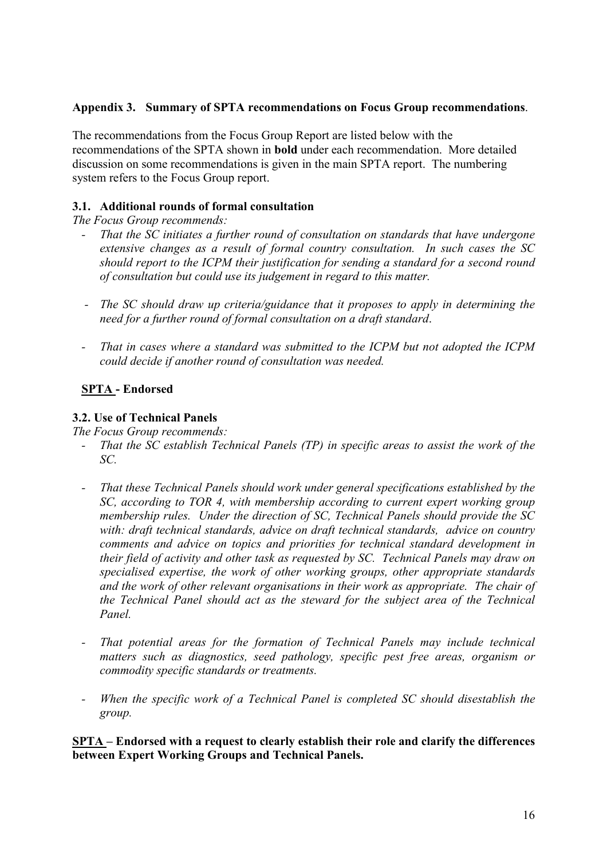# **Appendix 3. Summary of SPTA recommendations on Focus Group recommendations**.

The recommendations from the Focus Group Report are listed below with the recommendations of the SPTA shown in **bold** under each recommendation. More detailed discussion on some recommendations is given in the main SPTA report. The numbering system refers to the Focus Group report.

# **3.1. Additional rounds of formal consultation**

*The Focus Group recommends:* 

- *That the SC initiates a further round of consultation on standards that have undergone extensive changes as a result of formal country consultation. In such cases the SC should report to the ICPM their justification for sending a standard for a second round of consultation but could use its judgement in regard to this matter.*
- *The SC should draw up criteria/guidance that it proposes to apply in determining the need for a further round of formal consultation on a draft standard*.
- That in cases where a standard was submitted to the ICPM but not adopted the ICPM *could decide if another round of consultation was needed.*

# **SPTA - Endorsed**

# **3.2. Use of Technical Panels**

*The Focus Group recommends:* 

- *That the SC establish Technical Panels (TP) in specific areas to assist the work of the SC.*
- *That these Technical Panels should work under general specifications established by the SC, according to TOR 4, with membership according to current expert working group membership rules. Under the direction of SC, Technical Panels should provide the SC with: draft technical standards, advice on draft technical standards, advice on country comments and advice on topics and priorities for technical standard development in their field of activity and other task as requested by SC. Technical Panels may draw on specialised expertise, the work of other working groups, other appropriate standards and the work of other relevant organisations in their work as appropriate. The chair of the Technical Panel should act as the steward for the subject area of the Technical Panel.*
- *That potential areas for the formation of Technical Panels may include technical matters such as diagnostics, seed pathology, specific pest free areas, organism or commodity specific standards or treatments.*
- *When the specific work of a Technical Panel is completed SC should disestablish the group.*

**SPTA – Endorsed with a request to clearly establish their role and clarify the differences between Expert Working Groups and Technical Panels.**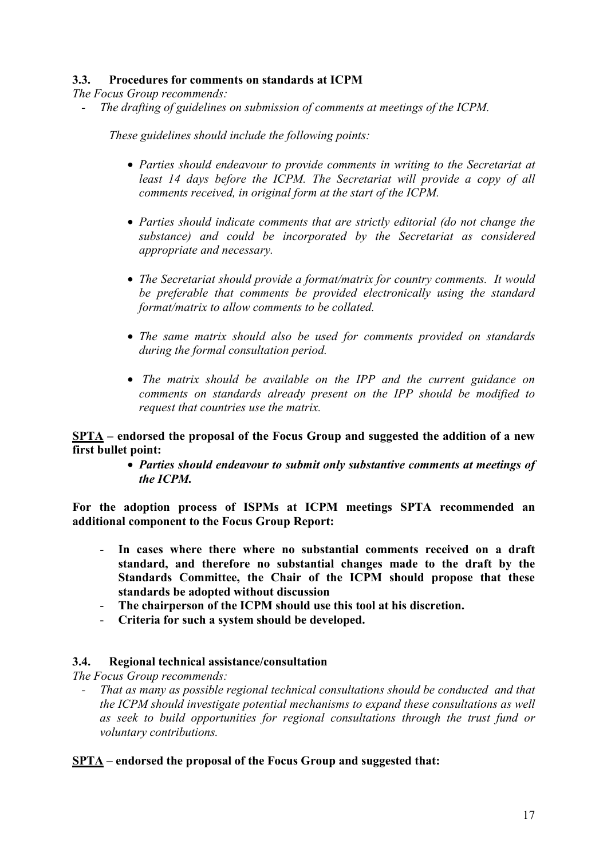# **3.3. Procedures for comments on standards at ICPM**

*The Focus Group recommends:* 

*- The drafting of guidelines on submission of comments at meetings of the ICPM.* 

*These guidelines should include the following points:* 

- *Parties should endeavour to provide comments in writing to the Secretariat at*  least 14 days before the ICPM. The Secretariat will provide a copy of all *comments received, in original form at the start of the ICPM.*
- *Parties should indicate comments that are strictly editorial (do not change the substance) and could be incorporated by the Secretariat as considered appropriate and necessary.*
- *The Secretariat should provide a format/matrix for country comments. It would be preferable that comments be provided electronically using the standard format/matrix to allow comments to be collated.*
- *The same matrix should also be used for comments provided on standards during the formal consultation period.*
- • *The matrix should be available on the IPP and the current guidance on comments on standards already present on the IPP should be modified to request that countries use the matrix.*

**SPTA – endorsed the proposal of the Focus Group and suggested the addition of a new first bullet point:** 

> • *Parties should endeavour to submit only substantive comments at meetings of the ICPM.*

**For the adoption process of ISPMs at ICPM meetings SPTA recommended an additional component to the Focus Group Report:** 

- In cases where there where no substantial comments received on a draft **standard, and therefore no substantial changes made to the draft by the Standards Committee, the Chair of the ICPM should propose that these standards be adopted without discussion**
- **The chairperson of the ICPM should use this tool at his discretion.**
- **Criteria for such a system should be developed.**

# **3.4. Regional technical assistance/consultation**

*The Focus Group recommends:* 

*- That as many as possible regional technical consultations should be conducted and that the ICPM should investigate potential mechanisms to expand these consultations as well as seek to build opportunities for regional consultations through the trust fund or voluntary contributions.* 

# **SPTA – endorsed the proposal of the Focus Group and suggested that:**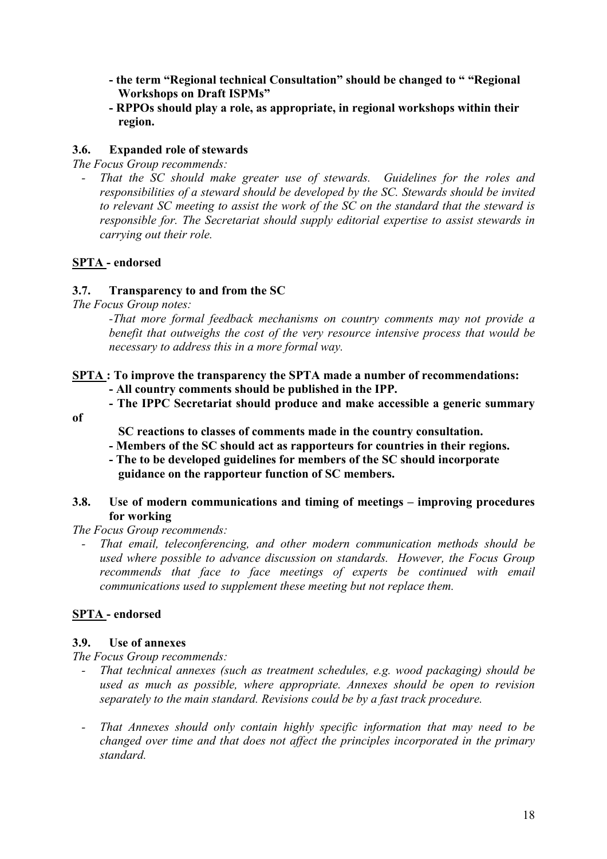- **the term "Regional technical Consultation" should be changed to " "Regional Workshops on Draft ISPMs"**
- **RPPOs should play a role, as appropriate, in regional workshops within their region.**

# **3.6. Expanded role of stewards**

*The Focus Group recommends:* 

That the SC should make greater use of stewards. Guidelines for the roles and *responsibilities of a steward should be developed by the SC. Stewards should be invited to relevant SC meeting to assist the work of the SC on the standard that the steward is responsible for. The Secretariat should supply editorial expertise to assist stewards in carrying out their role.* 

# **SPTA - endorsed**

# **3.7. Transparency to and from the SC**

*The Focus Group notes:* 

*-That more formal feedback mechanisms on country comments may not provide a benefit that outweighs the cost of the very resource intensive process that would be necessary to address this in a more formal way.* 

# **SPTA : To improve the transparency the SPTA made a number of recommendations:**

 **- All country comments should be published in the IPP.** 

 **- The IPPC Secretariat should produce and make accessible a generic summary** 

**of** 

 **SC reactions to classes of comments made in the country consultation.** 

- **Members of the SC should act as rapporteurs for countries in their regions.**
- **The to be developed guidelines for members of the SC should incorporate guidance on the rapporteur function of SC members.**

# **3.8. Use of modern communications and timing of meetings – improving procedures for working**

*The Focus Group recommends:* 

*- That email, teleconferencing, and other modern communication methods should be used where possible to advance discussion on standards. However, the Focus Group*  recommends that face to face meetings of experts be continued with email *communications used to supplement these meeting but not replace them.* 

# **SPTA - endorsed**

# **3.9. Use of annexes**

*The Focus Group recommends:* 

- *That technical annexes (such as treatment schedules, e.g. wood packaging) should be used as much as possible, where appropriate. Annexes should be open to revision separately to the main standard. Revisions could be by a fast track procedure.*
- *That Annexes should only contain highly specific information that may need to be changed over time and that does not affect the principles incorporated in the primary standard.*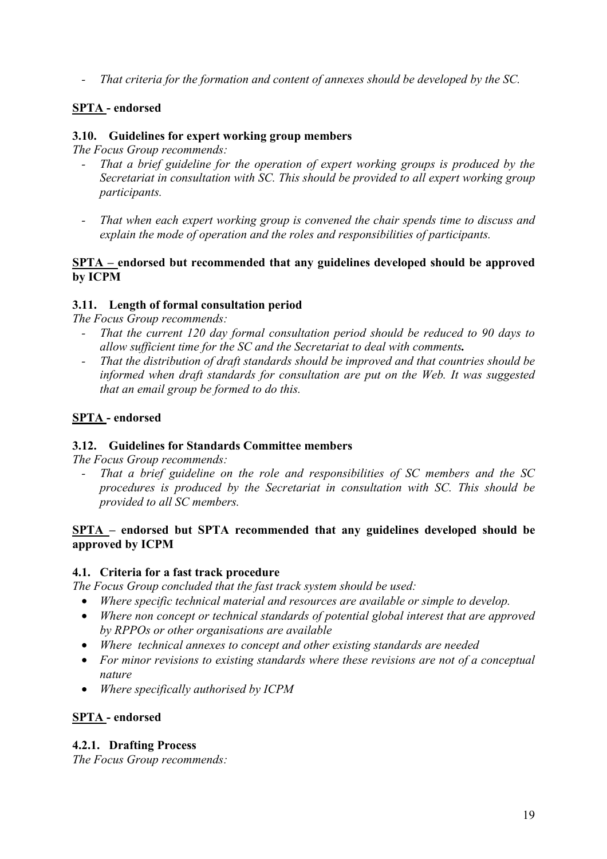*- That criteria for the formation and content of annexes should be developed by the SC.* 

# **SPTA - endorsed**

# **3.10. Guidelines for expert working group members**

*The Focus Group recommends:* 

- *That a brief guideline for the operation of expert working groups is produced by the Secretariat in consultation with SC. This should be provided to all expert working group participants.*
- *That when each expert working group is convened the chair spends time to discuss and explain the mode of operation and the roles and responsibilities of participants.*

# **SPTA – endorsed but recommended that any guidelines developed should be approved by ICPM**

# **3.11. Length of formal consultation period**

*The Focus Group recommends:* 

- *That the current 120 day formal consultation period should be reduced to 90 days to allow sufficient time for the SC and the Secretariat to deal with comments.*
- *That the distribution of draft standards should be improved and that countries should be informed when draft standards for consultation are put on the Web. It was suggested that an email group be formed to do this.*

# **SPTA - endorsed**

# **3.12. Guidelines for Standards Committee members**

*The Focus Group recommends:* 

*- That a brief guideline on the role and responsibilities of SC members and the SC procedures is produced by the Secretariat in consultation with SC. This should be provided to all SC members.* 

# **SPTA – endorsed but SPTA recommended that any guidelines developed should be approved by ICPM**

# **4.1. Criteria for a fast track procedure**

*The Focus Group concluded that the fast track system should be used:* 

- *Where specific technical material and resources are available or simple to develop.*
- *Where non concept or technical standards of potential global interest that are approved by RPPOs or other organisations are available*
- *Where technical annexes to concept and other existing standards are needed*
- *For minor revisions to existing standards where these revisions are not of a conceptual nature*
- *Where specifically authorised by ICPM*

# **SPTA - endorsed**

# **4.2.1. Drafting Process**

*The Focus Group recommends:*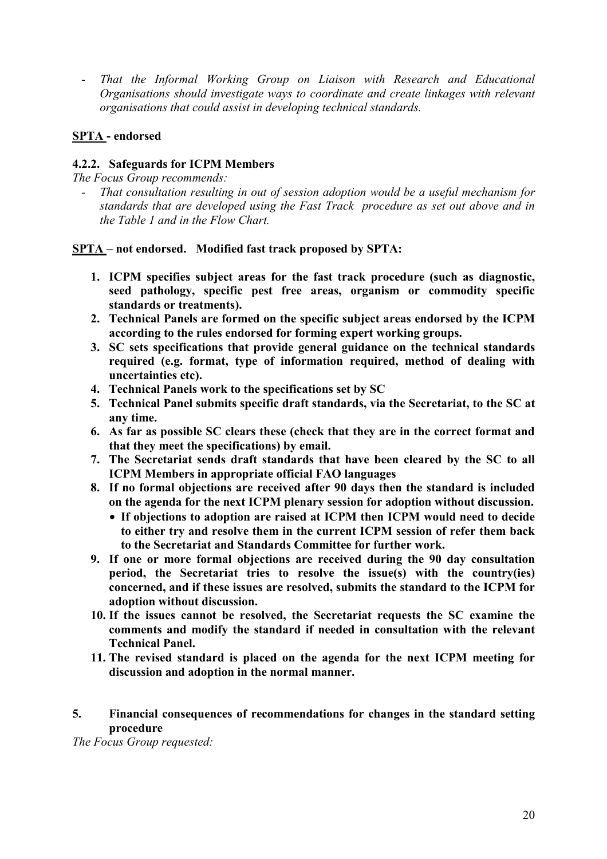That the Informal Working Group on Liaison with Research and Educational *Organisations should investigate ways to coordinate and create linkages with relevant organisations that could assist in developing technical standards.* 

# **SPTA - endorsed**

# **4.2.2. Safeguards for ICPM Members**

*The Focus Group recommends:* 

*- That consultation resulting in out of session adoption would be a useful mechanism for standards that are developed using the Fast Track procedure as set out above and in the Table 1 and in the Flow Chart.* 

# **SPTA – not endorsed. Modified fast track proposed by SPTA:**

- **1. ICPM specifies subject areas for the fast track procedure (such as diagnostic, seed pathology, specific pest free areas, organism or commodity specific standards or treatments).**
- **2. Technical Panels are formed on the specific subject areas endorsed by the ICPM according to the rules endorsed for forming expert working groups.**
- **3. SC sets specifications that provide general guidance on the technical standards required (e.g. format, type of information required, method of dealing with uncertainties etc).**
- **4. Technical Panels work to the specifications set by SC**
- **5. Technical Panel submits specific draft standards, via the Secretariat, to the SC at any time.**
- **6. As far as possible SC clears these (check that they are in the correct format and that they meet the specifications) by email.**
- **7. The Secretariat sends draft standards that have been cleared by the SC to all ICPM Members in appropriate official FAO languages**
- **8. If no formal objections are received after 90 days then the standard is included on the agenda for the next ICPM plenary session for adoption without discussion.** 
	- **If objections to adoption are raised at ICPM then ICPM would need to decide to either try and resolve them in the current ICPM session of refer them back to the Secretariat and Standards Committee for further work.**
- **9. If one or more formal objections are received during the 90 day consultation period, the Secretariat tries to resolve the issue(s) with the country(ies) concerned, and if these issues are resolved, submits the standard to the ICPM for adoption without discussion.**
- **10. If the issues cannot be resolved, the Secretariat requests the SC examine the comments and modify the standard if needed in consultation with the relevant Technical Panel.**
- **11. The revised standard is placed on the agenda for the next ICPM meeting for discussion and adoption in the normal manner.**
- **5. Financial consequences of recommendations for changes in the standard setting procedure**

*The Focus Group requested:*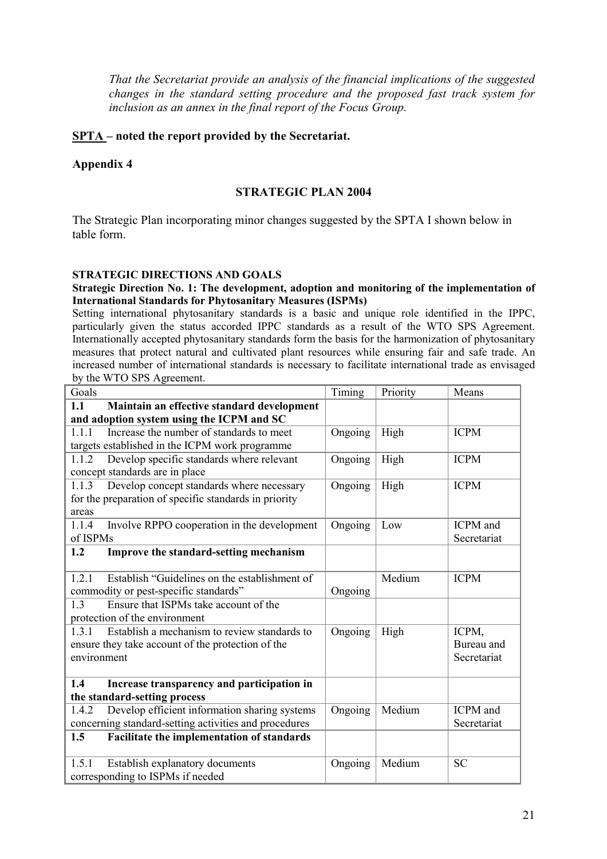*That the Secretariat provide an analysis of the financial implications of the suggested changes in the standard setting procedure and the proposed fast track system for inclusion as an annex in the final report of the Focus Group.* 

# **SPTA – noted the report provided by the Secretariat.**

# **Appendix 4**

# **STRATEGIC PLAN 2004**

The Strategic Plan incorporating minor changes suggested by the SPTA I shown below in table form.

### **STRATEGIC DIRECTIONS AND GOALS**

### **Strategic Direction No. 1: The development, adoption and monitoring of the implementation of International Standards for Phytosanitary Measures (ISPMs)**

Setting international phytosanitary standards is a basic and unique role identified in the IPPC, particularly given the status accorded IPPC standards as a result of the WTO SPS Agreement. Internationally accepted phytosanitary standards form the basis for the harmonization of phytosanitary measures that protect natural and cultivated plant resources while ensuring fair and safe trade. An increased number of international standards is necessary to facilitate international trade as envisaged by the WTO SPS Agreement.

| Goals                                                  | Timing  | Priority | Means           |
|--------------------------------------------------------|---------|----------|-----------------|
| 1.1<br>Maintain an effective standard development      |         |          |                 |
| and adoption system using the ICPM and SC              |         |          |                 |
| Increase the number of standards to meet<br>1.1.1      | Ongoing | High     | <b>ICPM</b>     |
| targets established in the ICPM work programme         |         |          |                 |
| Develop specific standards where relevant<br>1.1.2     | Ongoing | High     | <b>ICPM</b>     |
| concept standards are in place                         |         |          |                 |
| Develop concept standards where necessary<br>1.1.3     | Ongoing | High     | <b>ICPM</b>     |
| for the preparation of specific standards in priority  |         |          |                 |
| areas                                                  |         |          |                 |
| Involve RPPO cooperation in the development<br>1.1.4   | Ongoing | Low      | <b>ICPM</b> and |
| of ISPMs                                               |         |          | Secretariat     |
| 1.2<br>Improve the standard-setting mechanism          |         |          |                 |
|                                                        |         |          |                 |
| Establish "Guidelines on the establishment of<br>1.2.1 |         | Medium   | <b>ICPM</b>     |
| commodity or pest-specific standards"                  | Ongoing |          |                 |
| Ensure that ISPMs take account of the<br>1.3           |         |          |                 |
| protection of the environment                          |         |          |                 |
| Establish a mechanism to review standards to<br>1.3.1  | Ongoing | High     | ICPM,           |
| ensure they take account of the protection of the      |         |          | Bureau and      |
| environment                                            |         |          | Secretariat     |
|                                                        |         |          |                 |
| 1.4<br>Increase transparency and participation in      |         |          |                 |
| the standard-setting process                           |         |          |                 |
| Develop efficient information sharing systems<br>1.4.2 | Ongoing | Medium   | <b>ICPM</b> and |
| concerning standard-setting activities and procedures  |         |          | Secretariat     |
| Facilitate the implementation of standards<br>1.5      |         |          |                 |
|                                                        |         |          |                 |
| 1.5.1<br>Establish explanatory documents               | Ongoing | Medium   | <b>SC</b>       |
| corresponding to ISPMs if needed                       |         |          |                 |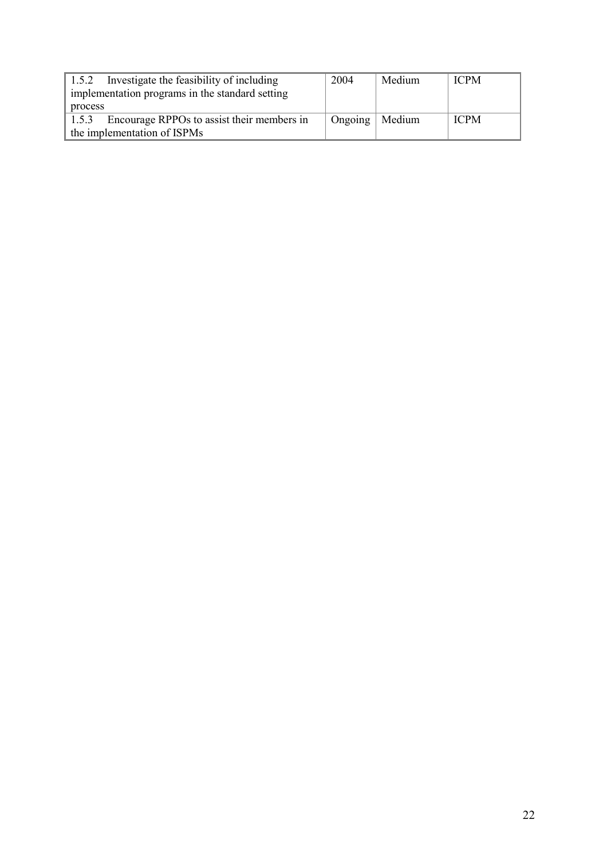| Investigate the feasibility of including<br>1.5.2<br>implementation programs in the standard setting | 2004             | Medium | <b>ICPM</b> |
|------------------------------------------------------------------------------------------------------|------------------|--------|-------------|
| process                                                                                              |                  |        |             |
| Encourage RPPOs to assist their members in<br>1.5.3                                                  | Ongoing   Medium |        | <b>ICPM</b> |
| the implementation of ISPMs                                                                          |                  |        |             |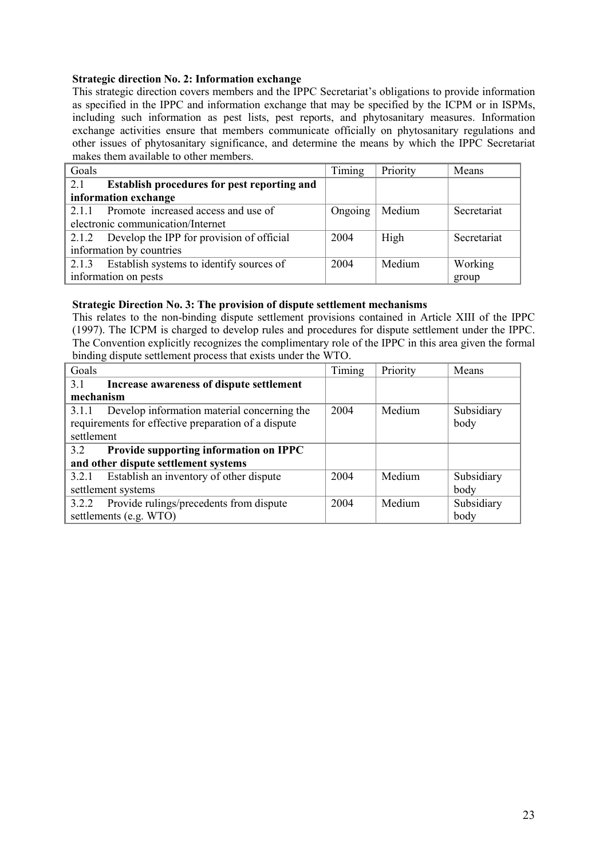### **Strategic direction No. 2: Information exchange**

This strategic direction covers members and the IPPC Secretariat's obligations to provide information as specified in the IPPC and information exchange that may be specified by the ICPM or in ISPMs, including such information as pest lists, pest reports, and phytosanitary measures. Information exchange activities ensure that members communicate officially on phytosanitary regulations and other issues of phytosanitary significance, and determine the means by which the IPPC Secretariat makes them available to other members.

| Goals |                                             | Timing  | Priority | Means       |
|-------|---------------------------------------------|---------|----------|-------------|
| 2.1   | Establish procedures for pest reporting and |         |          |             |
|       | information exchange                        |         |          |             |
| 211   | Promote increased access and use of         | Ongoing | Medium   | Secretariat |
|       | electronic communication/Internet           |         |          |             |
| 2.1.2 | Develop the IPP for provision of official   | 2004    | High     | Secretariat |
|       | information by countries                    |         |          |             |
| 2.1.3 | Establish systems to identify sources of    | 2004    | Medium   | Working     |
|       | information on pests                        |         |          | group       |

#### **Strategic Direction No. 3: The provision of dispute settlement mechanisms**

This relates to the non-binding dispute settlement provisions contained in Article XIII of the IPPC (1997). The ICPM is charged to develop rules and procedures for dispute settlement under the IPPC. The Convention explicitly recognizes the complimentary role of the IPPC in this area given the formal binding dispute settlement process that exists under the WTO.

| Goals                                                | Timing | Priority | Means      |
|------------------------------------------------------|--------|----------|------------|
| 3.1<br>Increase awareness of dispute settlement      |        |          |            |
| mechanism                                            |        |          |            |
| Develop information material concerning the<br>3.1.1 | 2004   | Medium   | Subsidiary |
| requirements for effective preparation of a dispute  |        |          | body       |
| settlement                                           |        |          |            |
| Provide supporting information on IPPC<br>3.2        |        |          |            |
| and other dispute settlement systems                 |        |          |            |
| Establish an inventory of other dispute<br>3.2.1     | 2004   | Medium   | Subsidiary |
| settlement systems                                   |        |          | body       |
| Provide rulings/precedents from dispute<br>3.2.2     | 2004   | Medium   | Subsidiary |
| settlements (e.g. WTO)                               |        |          | body       |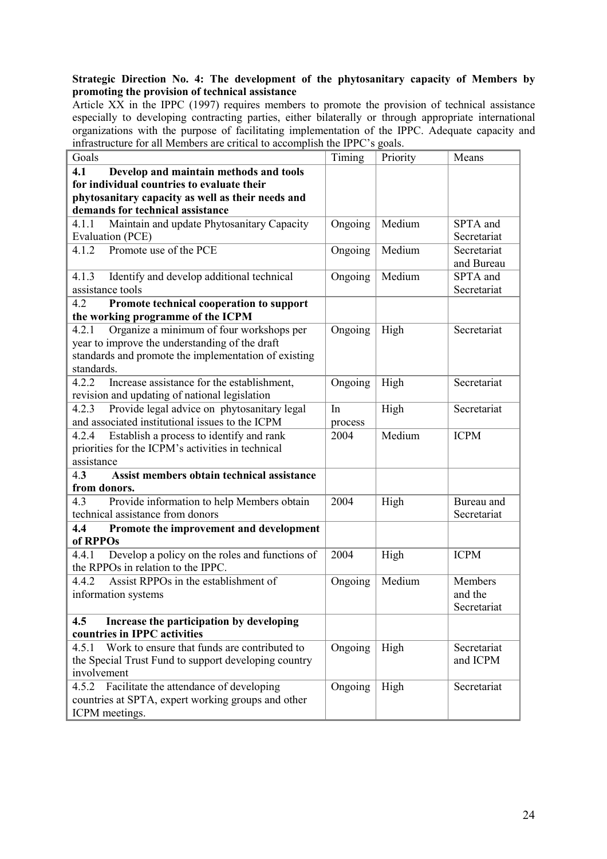## **Strategic Direction No. 4: The development of the phytosanitary capacity of Members by promoting the provision of technical assistance**

Article XX in the IPPC (1997) requires members to promote the provision of technical assistance especially to developing contracting parties, either bilaterally or through appropriate international organizations with the purpose of facilitating implementation of the IPPC. Adequate capacity and infrastructure for all Members are critical to accomplish the IPPC's goals.

| Goals                                                   | Timing  | Priority | Means       |
|---------------------------------------------------------|---------|----------|-------------|
| 4.1<br>Develop and maintain methods and tools           |         |          |             |
| for individual countries to evaluate their              |         |          |             |
| phytosanitary capacity as well as their needs and       |         |          |             |
| demands for technical assistance                        |         |          |             |
| Maintain and update Phytosanitary Capacity<br>4.1.1     | Ongoing | Medium   | SPTA and    |
| Evaluation (PCE)                                        |         |          | Secretariat |
| 4.1.2<br>Promote use of the PCE                         | Ongoing | Medium   | Secretariat |
|                                                         |         |          | and Bureau  |
| 4.1.3<br>Identify and develop additional technical      | Ongoing | Medium   | SPTA and    |
| assistance tools                                        |         |          | Secretariat |
| 4.2<br>Promote technical cooperation to support         |         |          |             |
| the working programme of the ICPM                       |         |          |             |
| Organize a minimum of four workshops per<br>4.2.1       | Ongoing | High     | Secretariat |
| year to improve the understanding of the draft          |         |          |             |
| standards and promote the implementation of existing    |         |          |             |
| standards.                                              |         |          |             |
| 4.2.2<br>Increase assistance for the establishment,     | Ongoing | High     | Secretariat |
| revision and updating of national legislation           |         |          |             |
| Provide legal advice on phytosanitary legal<br>4.2.3    | In      | High     | Secretariat |
| and associated institutional issues to the ICPM         | process |          |             |
| Establish a process to identify and rank<br>4.2.4       | 2004    | Medium   | <b>ICPM</b> |
| priorities for the ICPM's activities in technical       |         |          |             |
| assistance                                              |         |          |             |
| Assist members obtain technical assistance<br>4.3       |         |          |             |
| from donors.                                            |         |          |             |
| Provide information to help Members obtain<br>4.3       | 2004    | High     | Bureau and  |
| technical assistance from donors                        |         |          | Secretariat |
| 4.4<br>Promote the improvement and development          |         |          |             |
| of RPPOs                                                |         |          |             |
| Develop a policy on the roles and functions of<br>4.4.1 | 2004    | High     | <b>ICPM</b> |
| the RPPOs in relation to the IPPC.                      |         |          |             |
| 4.4.2<br>Assist RPPOs in the establishment of           | Ongoing | Medium   | Members     |
| information systems                                     |         |          | and the     |
|                                                         |         |          | Secretariat |
| Increase the participation by developing<br>4.5         |         |          |             |
| countries in IPPC activities                            |         |          |             |
| Work to ensure that funds are contributed to<br>4.5.1   | Ongoing | High     | Secretariat |
| the Special Trust Fund to support developing country    |         |          | and ICPM    |
| involvement                                             |         |          |             |
| Facilitate the attendance of developing<br>4.5.2        | Ongoing | High     | Secretariat |
| countries at SPTA, expert working groups and other      |         |          |             |
| ICPM meetings.                                          |         |          |             |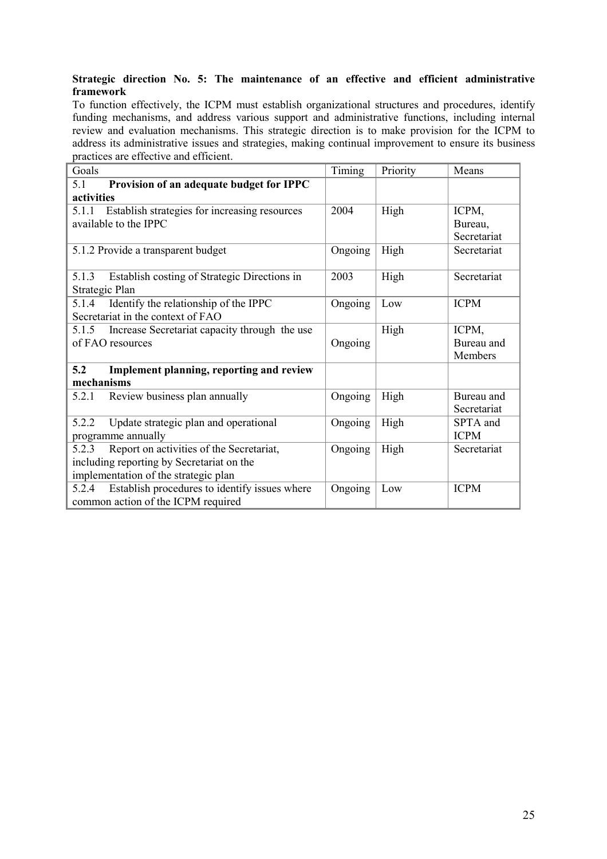### **Strategic direction No. 5: The maintenance of an effective and efficient administrative framework**

To function effectively, the ICPM must establish organizational structures and procedures, identify funding mechanisms, and address various support and administrative functions, including internal review and evaluation mechanisms. This strategic direction is to make provision for the ICPM to address its administrative issues and strategies, making continual improvement to ensure its business practices are effective and efficient.

| Goals                                                  | Timing  | Priority | Means       |
|--------------------------------------------------------|---------|----------|-------------|
| Provision of an adequate budget for IPPC<br>5.1        |         |          |             |
| activities                                             |         |          |             |
| 5.1.1 Establish strategies for increasing resources    | 2004    | High     | ICPM,       |
| available to the IPPC                                  |         |          | Bureau,     |
|                                                        |         |          | Secretariat |
| 5.1.2 Provide a transparent budget                     | Ongoing | High     | Secretariat |
| Establish costing of Strategic Directions in<br>5.1.3  | 2003    | High     | Secretariat |
| Strategic Plan                                         |         |          |             |
| Identify the relationship of the IPPC<br>5.1.4         | Ongoing | Low      | <b>ICPM</b> |
| Secretariat in the context of FAO                      |         |          |             |
| 5.1.5<br>Increase Secretariat capacity through the use |         | High     | ICPM,       |
| of FAO resources                                       | Ongoing |          | Bureau and  |
|                                                        |         |          | Members     |
| 5.2<br>Implement planning, reporting and review        |         |          |             |
| mechanisms                                             |         |          |             |
| Review business plan annually<br>5.2.1                 | Ongoing | High     | Bureau and  |
|                                                        |         |          | Secretariat |
| Update strategic plan and operational<br>5.2.2         | Ongoing | High     | SPTA and    |
| programme annually                                     |         |          | <b>ICPM</b> |
| Report on activities of the Secretariat,<br>5.2.3      | Ongoing | High     | Secretariat |
| including reporting by Secretariat on the              |         |          |             |
| implementation of the strategic plan                   |         |          |             |
| Establish procedures to identify issues where<br>5.2.4 | Ongoing | Low      | <b>ICPM</b> |
| common action of the ICPM required                     |         |          |             |